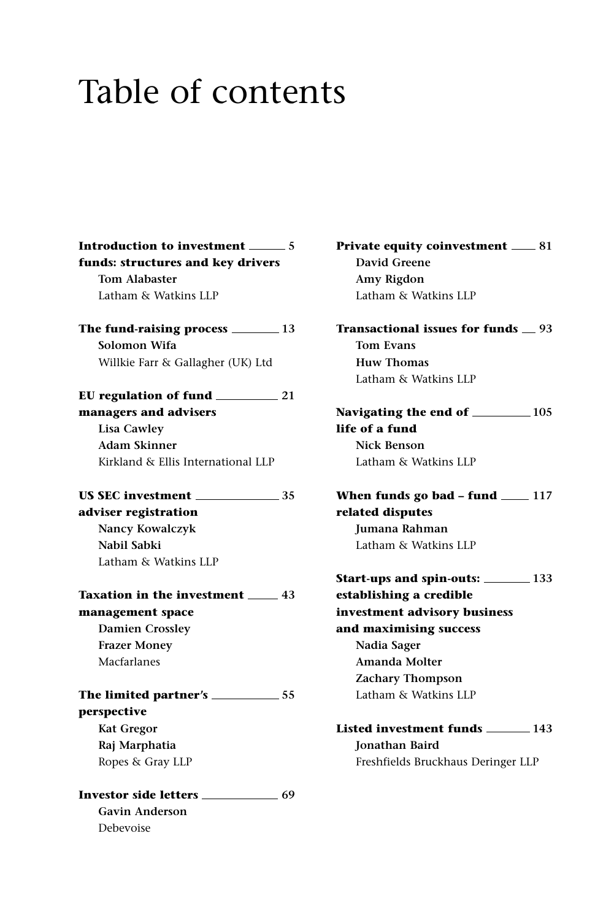## Table of contents

**Introduction to investment** \_\_\_\_\_\_ 5 **funds: structures and key drivers Tom Alabaster** Latham & Watkins LLP **The fund-raising process 13 Solomon Wifa** Willkie Farr & Gallagher (UK) Ltd **EU regulation of fund 21 managers and advisers Lisa Cawley Adam Skinner** Kirkland & Ellis International LLP **US SEC investment 35 adviser registration Nancy Kowalczyk Nabil Sabki** Latham & Watkins LLP **Taxation in the investment 43 management space Damien Crossley Frazer Money** Macfarlanes **The limited partner's 55 perspective Kat Gregor Raj Marphatia** Ropes & Gray LLP **Investor side letters 69 Gavin Anderson** Debevoise

**Private equity coinvestment** \_\_\_\_ 81 **David Greene Amy Rigdon** Latham & Watkins LLP

**Transactional issues for funds 93 Tom Evans Huw Thomas** Latham & Watkins LLP

Navigating the end of **105** 105 **life of a fund Nick Benson** Latham & Watkins LLP

**When funds go bad - fund \_\_\_\_ 117 related disputes Jumana Rahman** Latham & Watkins LLP

**Start-ups and spin-outs: 133 establishing a credible investment advisory business and maximising success Nadia Sager Amanda Molter Zachary Thompson** Latham & Watkins LLP

**Listed investment funds 143 Jonathan Baird** Freshfields Bruckhaus Deringer LLP